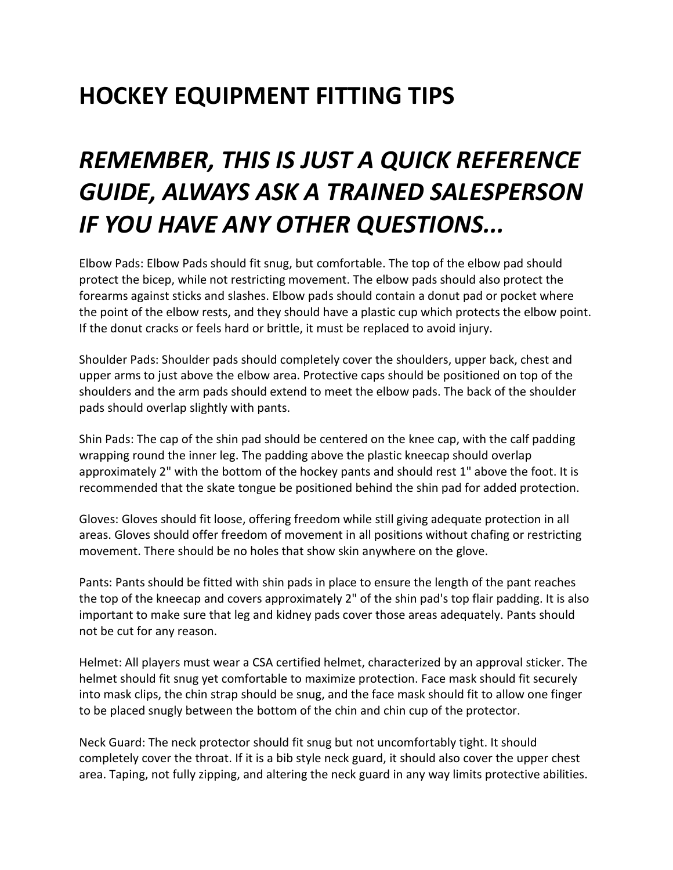## **HOCKEY EQUIPMENT FITTING TIPS**

## *REMEMBER, THIS IS JUST A QUICK REFERENCE GUIDE, ALWAYS ASK A TRAINED SALESPERSON IF YOU HAVE ANY OTHER QUESTIONS...*

Elbow Pads: Elbow Pads should fit snug, but comfortable. The top of the elbow pad should protect the bicep, while not restricting movement. The elbow pads should also protect the forearms against sticks and slashes. Elbow pads should contain a donut pad or pocket where the point of the elbow rests, and they should have a plastic cup which protects the elbow point. If the donut cracks or feels hard or brittle, it must be replaced to avoid injury.

Shoulder Pads: Shoulder pads should completely cover the shoulders, upper back, chest and upper arms to just above the elbow area. Protective caps should be positioned on top of the shoulders and the arm pads should extend to meet the elbow pads. The back of the shoulder pads should overlap slightly with pants.

Shin Pads: The cap of the shin pad should be centered on the knee cap, with the calf padding wrapping round the inner leg. The padding above the plastic kneecap should overlap approximately 2" with the bottom of the hockey pants and should rest 1" above the foot. It is recommended that the skate tongue be positioned behind the shin pad for added protection.

Gloves: Gloves should fit loose, offering freedom while still giving adequate protection in all areas. Gloves should offer freedom of movement in all positions without chafing or restricting movement. There should be no holes that show skin anywhere on the glove.

Pants: Pants should be fitted with shin pads in place to ensure the length of the pant reaches the top of the kneecap and covers approximately 2" of the shin pad's top flair padding. It is also important to make sure that leg and kidney pads cover those areas adequately. Pants should not be cut for any reason.

Helmet: All players must wear a CSA certified helmet, characterized by an approval sticker. The helmet should fit snug yet comfortable to maximize protection. Face mask should fit securely into mask clips, the chin strap should be snug, and the face mask should fit to allow one finger to be placed snugly between the bottom of the chin and chin cup of the protector.

Neck Guard: The neck protector should fit snug but not uncomfortably tight. It should completely cover the throat. If it is a bib style neck guard, it should also cover the upper chest area. Taping, not fully zipping, and altering the neck guard in any way limits protective abilities.